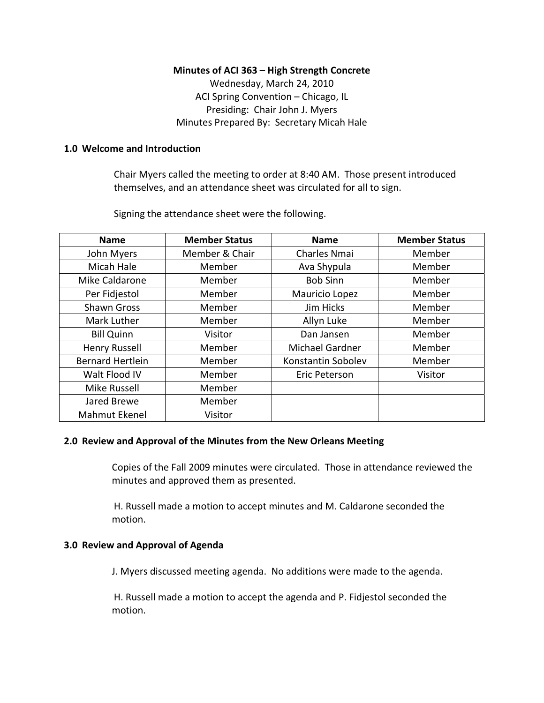# **Minutes of ACI 363 – High Strength Concrete**

Wednesday, March 24, 2010 ACI Spring Convention – Chicago, IL Presiding: Chair John J. Myers Minutes Prepared By: Secretary Micah Hale

#### **1.0 Welcome and Introduction**

Chair Myers called the meeting to order at 8:40 AM. Those present introduced themselves, and an attendance sheet was circulated for all to sign.

Signing the attendance sheet were the following.

| <b>Name</b>             | <b>Member Status</b> | <b>Name</b>         | <b>Member Status</b> |
|-------------------------|----------------------|---------------------|----------------------|
| John Myers              | Member & Chair       | <b>Charles Nmai</b> | Member               |
| Micah Hale              | Member               | Ava Shypula         | Member               |
| Mike Caldarone          | Member               | <b>Bob Sinn</b>     | Member               |
| Per Fidjestol           | Member               | Mauricio Lopez      | Member               |
| <b>Shawn Gross</b>      | Member               | Jim Hicks           | Member               |
| Mark Luther             | Member               | Allyn Luke          | Member               |
| <b>Bill Quinn</b>       | Visitor              | Dan Jansen          | Member               |
| Henry Russell           | Member               | Michael Gardner     | Member               |
| <b>Bernard Hertlein</b> | Member               | Konstantin Sobolev  | Member               |
| Walt Flood IV           | Member               | Eric Peterson       | Visitor              |
| <b>Mike Russell</b>     | Member               |                     |                      |
| Jared Brewe             | Member               |                     |                      |
| <b>Mahmut Ekenel</b>    | Visitor              |                     |                      |

#### **2.0 Review and Approval of the Minutes from the New Orleans Meeting**

Copies of the Fall 2009 minutes were circulated. Those in attendance reviewed the minutes and approved them as presented.

H. Russell made a motion to accept minutes and M. Caldarone seconded the motion.

# **3.0 Review and Approval of Agenda**

J. Myers discussed meeting agenda. No additions were made to the agenda.

H. Russell made a motion to accept the agenda and P. Fidjestol seconded the motion.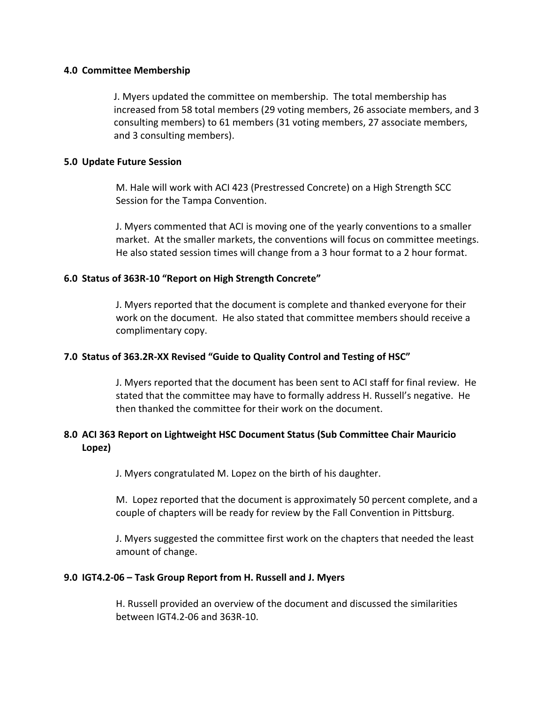#### **4.0 Committee Membership**

J. Myers updated the committee on membership. The total membership has increased from 58 total members (29 voting members, 26 associate members, and 3 consulting members) to 61 members (31 voting members, 27 associate members, and 3 consulting members).

# **5.0 Update Future Session**

M. Hale will work with ACI 423 (Prestressed Concrete) on a High Strength SCC Session for the Tampa Convention.

J. Myers commented that ACI is moving one of the yearly conventions to a smaller market. At the smaller markets, the conventions will focus on committee meetings. He also stated session times will change from a 3 hour format to a 2 hour format.

# **6.0 Status of 363R‐10 "Report on High Strength Concrete"**

J. Myers reported that the document is complete and thanked everyone for their work on the document. He also stated that committee members should receive a complimentary copy.

# **7.0 Status of 363.2R‐XX Revised "Guide to Quality Control and Testing of HSC"**

J. Myers reported that the document has been sent to ACI staff for final review. He stated that the committee may have to formally address H. Russell's negative. He then thanked the committee for their work on the document.

# **8.0 ACI 363 Report on Lightweight HSC Document Status (Sub Committee Chair Mauricio Lopez)**

J. Myers congratulated M. Lopez on the birth of his daughter.

M. Lopez reported that the document is approximately 50 percent complete, and a couple of chapters will be ready for review by the Fall Convention in Pittsburg.

J. Myers suggested the committee first work on the chapters that needed the least amount of change.

# **9.0 IGT4.2‐06 – Task Group Report from H. Russell and J. Myers**

H. Russell provided an overview of the document and discussed the similarities between IGT4.2‐06 and 363R‐10.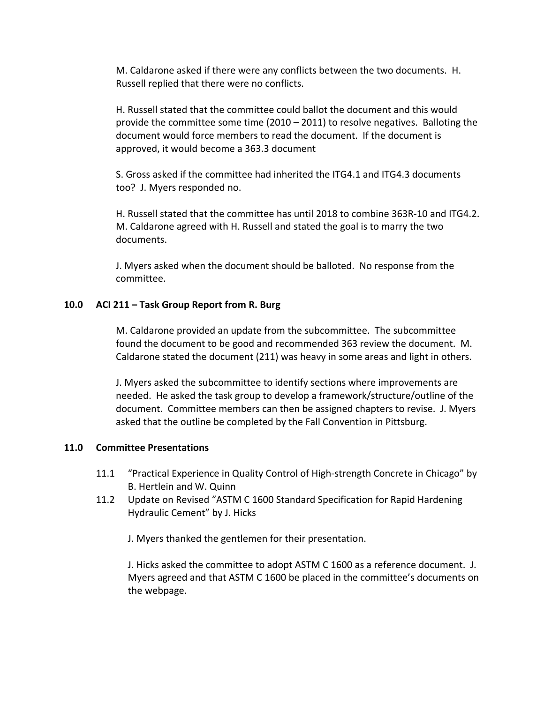M. Caldarone asked if there were any conflicts between the two documents. H. Russell replied that there were no conflicts.

H. Russell stated that the committee could ballot the document and this would provide the committee some time (2010 – 2011) to resolve negatives. Balloting the document would force members to read the document. If the document is approved, it would become a 363.3 document

S. Gross asked if the committee had inherited the ITG4.1 and ITG4.3 documents too? J. Myers responded no.

H. Russell stated that the committee has until 2018 to combine 363R‐10 and ITG4.2. M. Caldarone agreed with H. Russell and stated the goal is to marry the two documents.

J. Myers asked when the document should be balloted. No response from the committee.

# **10.0 ACI 211 – Task Group Report from R. Burg**

M. Caldarone provided an update from the subcommittee. The subcommittee found the document to be good and recommended 363 review the document. M. Caldarone stated the document (211) was heavy in some areas and light in others.

J. Myers asked the subcommittee to identify sections where improvements are needed. He asked the task group to develop a framework/structure/outline of the document. Committee members can then be assigned chapters to revise. J. Myers asked that the outline be completed by the Fall Convention in Pittsburg.

#### **11.0 Committee Presentations**

- 11.1 "Practical Experience in Quality Control of High‐strength Concrete in Chicago" by B. Hertlein and W. Quinn
- 11.2 Update on Revised "ASTM C 1600 Standard Specification for Rapid Hardening Hydraulic Cement" by J. Hicks

J. Myers thanked the gentlemen for their presentation.

J. Hicks asked the committee to adopt ASTM C 1600 as a reference document. J. Myers agreed and that ASTM C 1600 be placed in the committee's documents on the webpage.